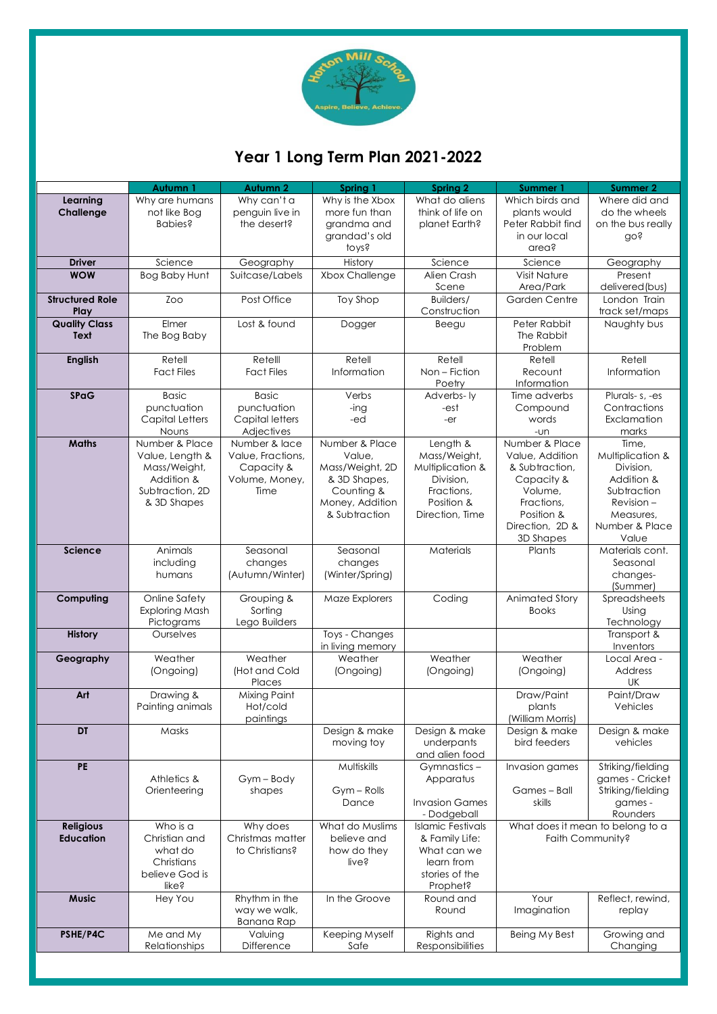

# **Year 1 Long Term Plan 2021-2022**

|                                      | Autumn 1                                                                                          | Autumn 2                                                                   | Spring 1                                                                                                      | Spring 2                                                                                                 | Summer 1                                                                                                                                 | <b>Summer 2</b>                                                                                                             |
|--------------------------------------|---------------------------------------------------------------------------------------------------|----------------------------------------------------------------------------|---------------------------------------------------------------------------------------------------------------|----------------------------------------------------------------------------------------------------------|------------------------------------------------------------------------------------------------------------------------------------------|-----------------------------------------------------------------------------------------------------------------------------|
| Learning<br>Challenge                | Why are humans<br>not like Bog<br>Babies?                                                         | Why can't a<br>penguin live in<br>the desert?                              | Why is the Xbox<br>more fun than<br>grandma and<br>grandad's old<br>toys?                                     | What do aliens<br>think of life on<br>planet Earth?                                                      | Which birds and<br>plants would<br>Peter Rabbit find<br>in our local<br>area?                                                            | Where did and<br>do the wheels<br>on the bus really<br>doś                                                                  |
| <b>Driver</b>                        | Science                                                                                           | Geography                                                                  | History                                                                                                       | Science                                                                                                  | Science                                                                                                                                  | Geography                                                                                                                   |
| <b>WOW</b>                           | Bog Baby Hunt                                                                                     | Suitcase/Labels                                                            | Xbox Challenge                                                                                                | Alien Crash<br>Scene                                                                                     | <b>Visit Nature</b><br>Area/Park                                                                                                         | Present<br>delivered (bus)                                                                                                  |
| <b>Structured Role</b><br>Play       | Zoo                                                                                               | Post Office                                                                | Toy Shop                                                                                                      | Builders/<br>Construction                                                                                | Garden Centre                                                                                                                            | London Train<br>track set/maps                                                                                              |
| <b>Quality Class</b><br>Text         | Elmer<br>The Bog Baby                                                                             | Lost & found                                                               | Dogger                                                                                                        | Beegu                                                                                                    | Peter Rabbit<br>The Rabbit<br>Problem                                                                                                    | Naughty bus                                                                                                                 |
| <b>English</b>                       | Retell<br><b>Fact Files</b>                                                                       | Retelll<br><b>Fact Files</b>                                               | Retell<br>Information                                                                                         | Retell<br>Non-Fiction<br>Poetry                                                                          | Retell<br>Recount<br>Information                                                                                                         | Retell<br>Information                                                                                                       |
| <b>SPaG</b>                          | <b>Basic</b><br>punctuation<br>Capital Letters<br>Nouns                                           | <b>Basic</b><br>punctuation<br>Capital letters<br>Adjectives               | Verbs<br>-ing<br>-ed                                                                                          | Adverbs-ly<br>-est<br>-er                                                                                | Time adverbs<br>Compound<br>words<br>-un                                                                                                 | Plurals-s, -es<br>Contractions<br>Exclamation<br>marks                                                                      |
| <b>Maths</b>                         | Number & Place<br>Value, Length &<br>Mass/Weight,<br>Addition &<br>Subtraction, 2D<br>& 3D Shapes | Number & lace<br>Value, Fractions,<br>Capacity &<br>Volume, Money,<br>Time | Number & Place<br>Value,<br>Mass/Weight, 2D<br>& 3D Shapes,<br>Counting &<br>Money, Addition<br>& Subtraction | Length &<br>Mass/Weight,<br>Multiplication &<br>Division,<br>Fractions,<br>Position &<br>Direction, Time | Number & Place<br>Value, Addition<br>& Subtraction,<br>Capacity &<br>Volume,<br>Fractions,<br>Position &<br>Direction, 2D &<br>3D Shapes | Time.<br>Multiplication &<br>Division,<br>Addition &<br>Subtraction<br>$Revision -$<br>Measures,<br>Number & Place<br>Value |
| Science                              | Animals<br>including<br>humans                                                                    | Seasonal<br>changes<br>(Autumn/Winter)                                     | Seasonal<br>changes<br>(Winter/Spring)                                                                        | Materials                                                                                                | Plants                                                                                                                                   | Materials cont.<br>Seasonal<br>changes-<br>(Summer)                                                                         |
| Computing                            | Online Safety<br>Exploring Mash<br>Pictograms                                                     | Grouping &<br>Sorting<br>Lego Builders                                     | Maze Explorers                                                                                                | Coding                                                                                                   | Animated Story<br><b>Books</b>                                                                                                           | Spreadsheets<br>Using<br>Technology                                                                                         |
| <b>History</b>                       | Ourselves                                                                                         |                                                                            | Toys - Changes<br>in living memory                                                                            |                                                                                                          |                                                                                                                                          | Transport &<br>Inventors                                                                                                    |
| Geography                            | Weather<br>(Ongoing)                                                                              | Weather<br>(Hot and Cold<br>Places                                         | Weather<br>(Ongoing)                                                                                          | Weather<br>(Ongoing)                                                                                     | Weather<br>(Ongoing)                                                                                                                     | Local Area -<br>Address<br>UK                                                                                               |
| Art                                  | Drawing &<br>Painting animals                                                                     | Mixing Paint<br>Hot/cold<br>paintings                                      |                                                                                                               |                                                                                                          | Draw/Paint<br>plants<br>(William Morris)                                                                                                 | Paint/Draw<br>Vehicles                                                                                                      |
| DT                                   | Masks                                                                                             |                                                                            | Design & make<br>moving toy                                                                                   | Design & make<br>underpants<br>and alien food                                                            | Design & make<br>bird feeders                                                                                                            | Design & make<br>vehicles                                                                                                   |
| <b>PE</b>                            | Athletics &<br>Orienteering                                                                       | Gym-Body<br>shapes                                                         | Multiskills<br>Gym - Rolls<br>Dance                                                                           | Gymnastics-<br>Apparatus<br><b>Invasion Games</b><br>- Dodgeball                                         | Invasion games<br>Games - Ball<br>skills                                                                                                 | Striking/fielding<br>games - Cricket<br>Striking/fielding<br>games -<br>Rounders                                            |
| <b>Religious</b><br><b>Education</b> | Who is a<br>Christian and<br>what do<br>Christians<br>believe God is<br>like?                     | Why does<br>Christmas matter<br>to Christians?                             | What do Muslims<br>believe and<br>how do they<br>live?                                                        | Islamic Festivals<br>& Family Life:<br>What can we<br>learn from<br>stories of the<br>Prophet?           | What does it mean to belong to a<br>Faith Community?                                                                                     |                                                                                                                             |
| <b>Music</b>                         | Hey You                                                                                           | Rhythm in the<br>way we walk,<br>Banana Rap                                | In the Groove                                                                                                 | Round and<br>Round                                                                                       | Your<br>Imagination                                                                                                                      | Reflect, rewind,<br>replay                                                                                                  |
| PSHE/P4C                             | Me and My<br>Relationships                                                                        | Valuing<br>Difference                                                      | Keeping Myself<br>Safe                                                                                        | Rights and<br>Responsibilities                                                                           | Being My Best                                                                                                                            | Growing and<br>Changing                                                                                                     |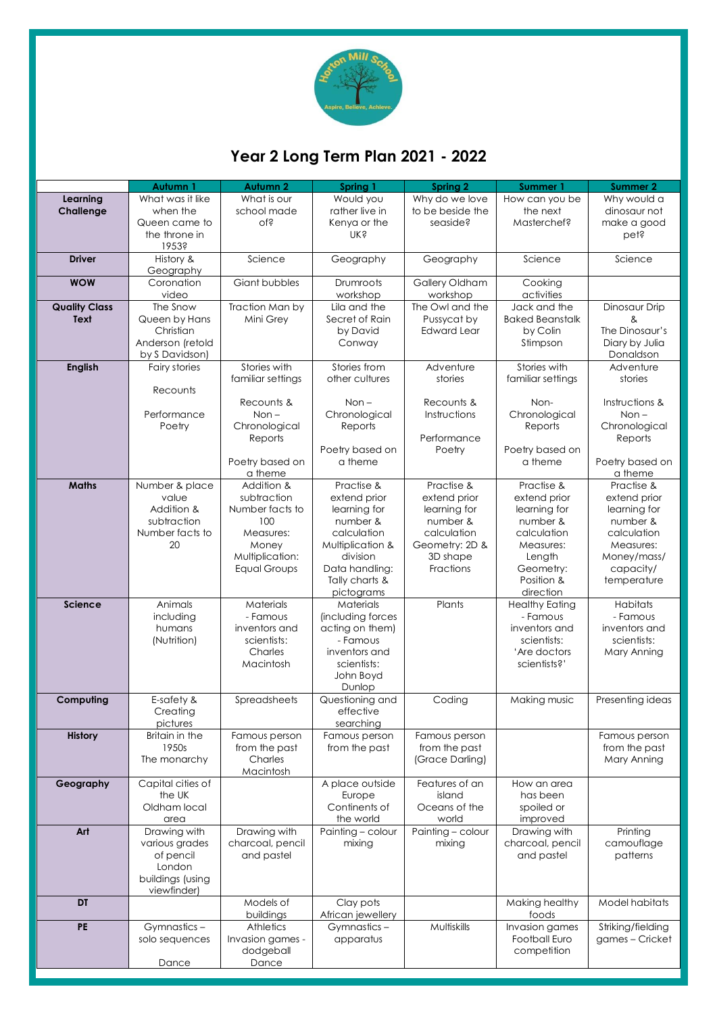

# **Year 2 Long Term Plan 2021 - 2022**

|                              | Autumn 1                                                                                 | <b>Autumn 2</b>                                                                                                     | Spring 1                                                                                                                                                | <b>Spring 2</b>                                                                                                  | <b>Summer 1</b>                                                                                                                      | <b>Summer 2</b>                                                                                                               |
|------------------------------|------------------------------------------------------------------------------------------|---------------------------------------------------------------------------------------------------------------------|---------------------------------------------------------------------------------------------------------------------------------------------------------|------------------------------------------------------------------------------------------------------------------|--------------------------------------------------------------------------------------------------------------------------------------|-------------------------------------------------------------------------------------------------------------------------------|
| Learning<br>Challenge        | What was it like<br>when the<br>Queen came to<br>the throne in<br>1953?                  | What is our<br>school made<br>of?                                                                                   | Would you<br>rather live in<br>Kenya or the<br><b>NK's</b>                                                                                              | Why do we love<br>to be beside the<br>seaside?                                                                   | How can you be<br>the next<br>Masterchef?                                                                                            | Why would a<br>dinosaur not<br>make a good<br>pet?                                                                            |
| <b>Driver</b>                | History &<br>Geography                                                                   | Science                                                                                                             | Geography                                                                                                                                               | Geography                                                                                                        | Science                                                                                                                              | Science                                                                                                                       |
| <b>WOW</b>                   | Coronation<br>video                                                                      | Giant bubbles                                                                                                       | Drumroots<br>workshop                                                                                                                                   | Gallery Oldham<br>workshop                                                                                       | Cooking<br>activities                                                                                                                |                                                                                                                               |
| <b>Quality Class</b><br>Text | The Snow<br>Queen by Hans<br>Christian<br>Anderson (retold                               | Traction Man by<br>Mini Grey                                                                                        | Lila and the<br>Secret of Rain<br>by David<br>Conway                                                                                                    | The Owl and the<br>Pussycat by<br><b>Edward Lear</b>                                                             | Jack and the<br><b>Baked Beanstalk</b><br>by Colin<br>Stimpson                                                                       | Dinosaur Drip<br>&<br>The Dinosaur's<br>Diary by Julia                                                                        |
| <b>English</b>               | by S Davidson)<br>Fairy stories                                                          | Stories with<br>familiar settings                                                                                   | Stories from<br>other cultures                                                                                                                          | Adventure<br>stories                                                                                             | Stories with<br>familiar settings                                                                                                    | Donaldson<br>Adventure<br>stories                                                                                             |
|                              | Recounts<br>Performance<br>Poetry                                                        | Recounts &<br>$Non-$<br>Chronological<br>Reports<br>Poetry based on<br>a theme                                      | $Non -$<br>Chronological<br>Reports<br>Poetry based on<br>a theme                                                                                       | Recounts &<br>Instructions<br>Performance<br>Poetry                                                              | Non-<br>Chronological<br>Reports<br>Poetry based on<br>a theme                                                                       | Instructions &<br>$Non -$<br>Chronological<br>Reports<br>Poetry based on<br>a theme                                           |
| <b>Maths</b>                 | Number & place<br>value<br>Addition &<br>subtraction<br>Number facts to<br>20            | Addition &<br>subtraction<br>Number facts to<br>100<br>Measures:<br>Money<br>Multiplication:<br><b>Equal Groups</b> | Practise &<br>extend prior<br>learning for<br>number &<br>calculation<br>Multiplication &<br>division<br>Data handling:<br>Tally charts &<br>pictograms | Practise &<br>extend prior<br>learning for<br>number &<br>calculation<br>Geometry: 2D &<br>3D shape<br>Fractions | Practise &<br>extend prior<br>learning for<br>number &<br>calculation<br>Measures:<br>Length<br>Geometry:<br>Position &<br>direction | Practise &<br>extend prior<br>learning for<br>number &<br>calculation<br>Measures:<br>Money/mass/<br>capacity/<br>temperature |
| <b>Science</b>               | Animals<br>including<br>humans<br>(Nutrition)                                            | Materials<br>- Famous<br>inventors and<br>scientists:<br>Charles<br>Macintosh                                       | Materials<br>(including forces<br>acting on them)<br>- Famous<br>inventors and<br>scientists:<br>John Boyd<br>Dunlop                                    | Plants                                                                                                           | <b>Healthy Eating</b><br>- Famous<br>inventors and<br>scientists:<br>'Are doctors<br>scientists?'                                    | <b>Habitats</b><br>- Famous<br>inventors and<br>scientists:<br>Mary Anning                                                    |
| Computing                    | E-safety &<br>Creating<br>pictures                                                       | Spreadsheets                                                                                                        | Questioning and<br>effective<br>searching                                                                                                               | Coding                                                                                                           | Making music                                                                                                                         | Presenting ideas                                                                                                              |
| <b>History</b>               | Britain in the<br>1950s<br>The monarchy                                                  | Famous person<br>from the past<br>Charles<br>Macintosh                                                              | Famous person<br>from the past                                                                                                                          | Famous person<br>from the past<br>(Grace Darling)                                                                |                                                                                                                                      | Famous person<br>from the past<br>Mary Anning                                                                                 |
| Geography                    | Capital cities of<br>the UK<br>Oldham local<br>area                                      |                                                                                                                     | A place outside<br>Europe<br>Continents of<br>the world                                                                                                 | Features of an<br>island<br>Oceans of the<br>world                                                               | How an area<br>has been<br>spoiled or<br>improved                                                                                    |                                                                                                                               |
| Art                          | Drawing with<br>various grades<br>of pencil<br>London<br>buildings (using<br>viewfinder) | Drawing with<br>charcoal, pencil<br>and pastel                                                                      | Painting - colour<br>mixing                                                                                                                             | Painting - colour<br>mixing                                                                                      | Drawing with<br>charcoal, pencil<br>and pastel                                                                                       | Printing<br>camouflage<br>patterns                                                                                            |
| DT                           |                                                                                          | Models of<br>buildings                                                                                              | Clay pots<br>African jewellery                                                                                                                          |                                                                                                                  | Making healthy<br>foods                                                                                                              | Model habitats                                                                                                                |
| PE                           | Gymnastics-<br>solo sequences<br>Dance                                                   | Athletics<br>Invasion games -<br>dodgeball<br>Dance                                                                 | Gymnastics-<br>apparatus                                                                                                                                | Multiskills                                                                                                      | Invasion games<br>Football Euro<br>competition                                                                                       | Striking/fielding<br>games - Cricket                                                                                          |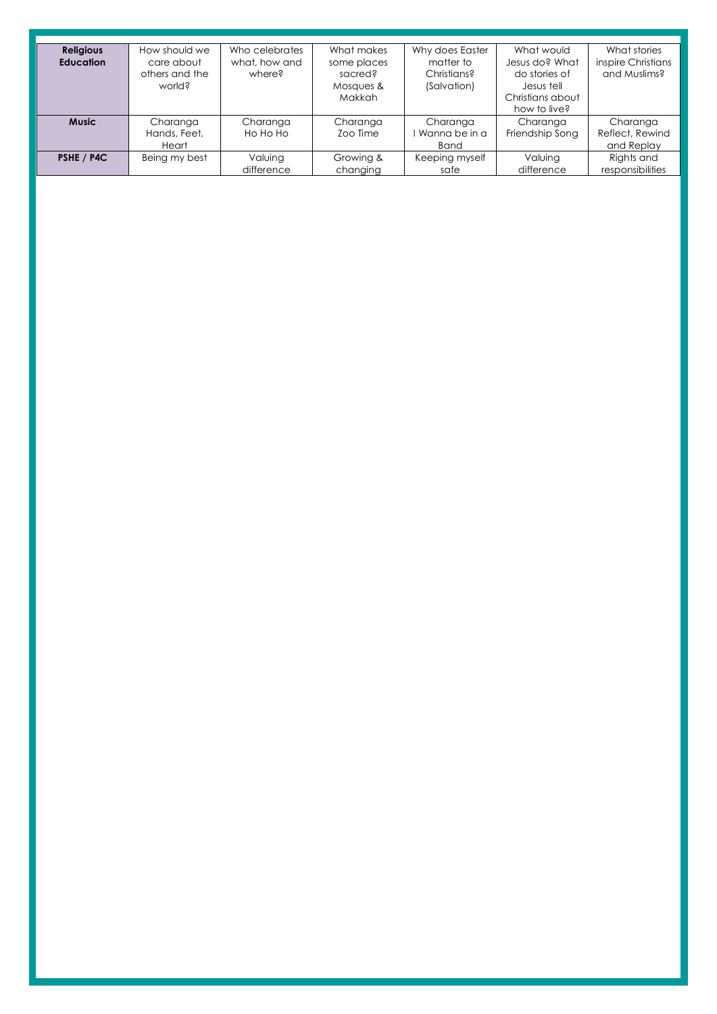| <b>Religious</b> | How should we  | Who celebrates | What makes    | Why does Easter | What would       | What stories       |
|------------------|----------------|----------------|---------------|-----------------|------------------|--------------------|
| <b>Education</b> | care about     | what, how and  | some places   | matter to       | Jesus do? What   | inspire Christians |
|                  | others and the | where?         | sacred?       | Christians?     | do stories of    | and Muslims?       |
|                  | world?         |                | Mosques &     | (Salvation)     | Jesus tell       |                    |
|                  |                |                | <b>Makkah</b> |                 | Christians about |                    |
|                  |                |                |               |                 | how to live?     |                    |
| <b>Music</b>     | Charanga       | Charanga       | Charanga      | Charanga        | Charanga         | Charanga           |
|                  | Hands, Feet,   | Ho Ho Ho       | Zoo Time      | Wanna be in a   | Friendship Song  | Reflect, Rewind    |
|                  | Heart          |                |               | <b>Band</b>     |                  | and Replay         |
| PSHE / P4C       | Being my best  | Valuing        | Growing &     | Keeping myself  | Valuing          | Rights and         |
|                  |                | difference     | changing      | safe            | difference       | responsibilities   |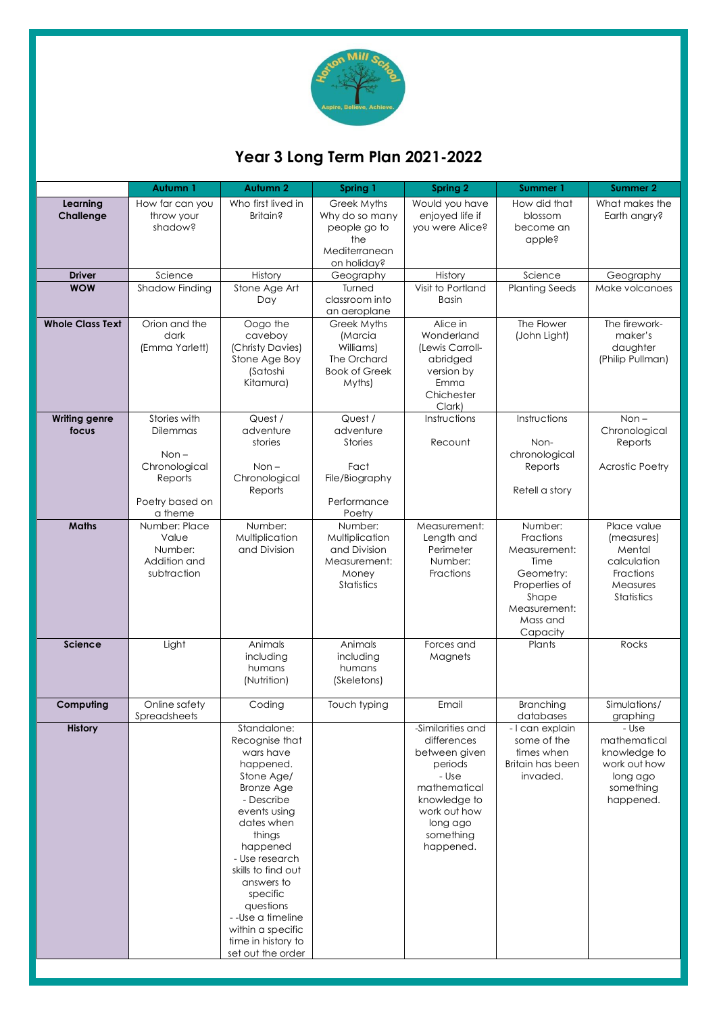

# **Year 3 Long Term Plan 2021-2022**

|                               | Autumn 1                                                                                      | Autumn 2                                                                                                                                                                                                                                                                                                                        | Spring 1                                                                                  | <b>Spring 2</b>                                                                                                                                             | Summer 1                                                                                                                    | Summer 2                                                                                    |
|-------------------------------|-----------------------------------------------------------------------------------------------|---------------------------------------------------------------------------------------------------------------------------------------------------------------------------------------------------------------------------------------------------------------------------------------------------------------------------------|-------------------------------------------------------------------------------------------|-------------------------------------------------------------------------------------------------------------------------------------------------------------|-----------------------------------------------------------------------------------------------------------------------------|---------------------------------------------------------------------------------------------|
| Learning<br>Challenge         | How far can you<br>throw your<br>shadow?                                                      | Who first lived in<br>Britain?                                                                                                                                                                                                                                                                                                  | Greek Myths<br>Why do so many<br>people go to<br>the<br>Mediterranean<br>on holiday?      | Would you have<br>enjoyed life if<br>you were Alice?                                                                                                        | How did that<br>blossom<br>become an<br>apple?                                                                              | What makes the<br>Earth angry?                                                              |
| <b>Driver</b>                 | Science                                                                                       | History                                                                                                                                                                                                                                                                                                                         | Geography                                                                                 | History                                                                                                                                                     | Science                                                                                                                     | Geography                                                                                   |
| <b>WOW</b>                    | Shadow Finding                                                                                | Stone Age Art<br>Day                                                                                                                                                                                                                                                                                                            | Turned<br>classroom into<br>an aeroplane                                                  | Visit to Portland<br><b>Basin</b>                                                                                                                           | <b>Planting Seeds</b>                                                                                                       | Make volcanoes                                                                              |
| <b>Whole Class Text</b>       | Orion and the<br>dark<br>(Emma Yarlett)                                                       | Oogo the<br>caveboy<br>(Christy Davies)<br>Stone Age Boy<br>(Satoshi<br>Kitamura)                                                                                                                                                                                                                                               | Greek Myths<br>(Marcia<br>Williams)<br>The Orchard<br><b>Book of Greek</b><br>Myths)      | Alice in<br>Wonderland<br>(Lewis Carroll-<br>abridged<br>version by<br>Emma<br>Chichester<br>Clark)                                                         | The Flower<br>(John Light)                                                                                                  | The firework-<br>maker's<br>daughter<br>(Philip Pullman)                                    |
| <b>Writing genre</b><br>focus | Stories with<br>Dilemmas<br>$Non -$<br>Chronological<br>Reports<br>Poetry based on<br>a theme | Quest /<br>adventure<br>stories<br>$Non -$<br>Chronological<br>Reports                                                                                                                                                                                                                                                          | Quest /<br>adventure<br><b>Stories</b><br>Fact<br>File/Biography<br>Performance<br>Poetry | Instructions<br>Recount                                                                                                                                     | Instructions<br>Non-<br>chronological<br>Reports<br>Retell a story                                                          | $Non -$<br>Chronological<br>Reports<br><b>Acrostic Poetry</b>                               |
| <b>Maths</b>                  | Number: Place<br>Value<br>Number:<br>Addition and<br>subtraction                              | Number:<br>Multiplication<br>and Division                                                                                                                                                                                                                                                                                       | Number:<br>Multiplication<br>and Division<br>Measurement:<br>Money<br><b>Statistics</b>   | Measurement:<br>Length and<br>Perimeter<br>Number:<br>Fractions                                                                                             | Number:<br>Fractions<br>Measurement:<br>Time<br>Geometry:<br>Properties of<br>Shape<br>Measurement:<br>Mass and<br>Capacity | Place value<br>(measures)<br>Mental<br>calculation<br>Fractions<br>Measures<br>Statistics   |
| <b>Science</b>                | Light                                                                                         | Animals<br>including<br>humans<br>(Nutrition)                                                                                                                                                                                                                                                                                   | Animals<br>including<br>humans<br>(Skeletons)                                             | Forces and<br>Magnets                                                                                                                                       | Plants                                                                                                                      | Rocks                                                                                       |
| Computing                     | Online safety<br><b>Spreadsheets</b>                                                          | Coding                                                                                                                                                                                                                                                                                                                          | Touch typing                                                                              | Email                                                                                                                                                       | Branching<br>databases                                                                                                      | Simulations/<br>graphing                                                                    |
| <b>History</b>                |                                                                                               | Standalone:<br>Recognise that<br>wars have<br>happened.<br>Stone Age/<br><b>Bronze Age</b><br>- Describe<br>events using<br>dates when<br>things<br>happened<br>- Use research<br>skills to find out<br>answers to<br>specific<br>questions<br>--Use a timeline<br>within a specific<br>time in history to<br>set out the order |                                                                                           | -Similarities and<br>differences<br>between given<br>periods<br>- Use<br>mathematical<br>knowledge to<br>work out how<br>long ago<br>something<br>happened. | - I can explain<br>some of the<br>times when<br>Britain has been<br>invaded.                                                | - Use<br>mathematical<br>knowledge to<br>work out how<br>long ago<br>something<br>happened. |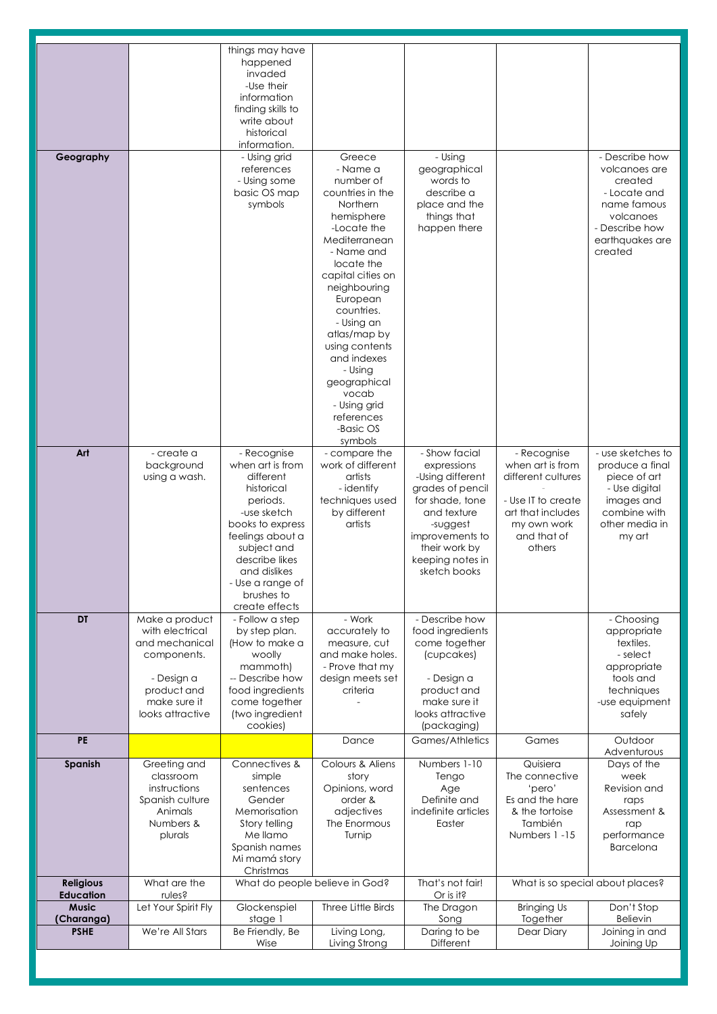| Geography                            |                                                                                                                                     | things may have<br>happened<br>invaded<br>-Use their<br>information<br>finding skills to<br>write about<br>historical<br>information.<br>- Using grid                                                                              | Greece                                                                                                                                                                                                                                                                                                                                                  | - Using                                                                                                                                                                                    |                                                                                                                                          | - Describe how                                                                                                                  |
|--------------------------------------|-------------------------------------------------------------------------------------------------------------------------------------|------------------------------------------------------------------------------------------------------------------------------------------------------------------------------------------------------------------------------------|---------------------------------------------------------------------------------------------------------------------------------------------------------------------------------------------------------------------------------------------------------------------------------------------------------------------------------------------------------|--------------------------------------------------------------------------------------------------------------------------------------------------------------------------------------------|------------------------------------------------------------------------------------------------------------------------------------------|---------------------------------------------------------------------------------------------------------------------------------|
|                                      |                                                                                                                                     | references<br>- Using some<br>basic OS map<br>symbols                                                                                                                                                                              | - Name a<br>number of<br>countries in the<br>Northern<br>hemisphere<br>-Locate the<br>Mediterranean<br>- Name and<br>locate the<br>capital cities on<br>neighbouring<br>European<br>countries.<br>- Using an<br>atlas/map by<br>using contents<br>and indexes<br>- Using<br>geographical<br>vocab<br>- Using grid<br>references<br>-Basic OS<br>symbols | geographical<br>words to<br>describe a<br>place and the<br>things that<br>happen there                                                                                                     |                                                                                                                                          | volcanoes are<br>created<br>- Locate and<br>name famous<br>volcanoes<br>- Describe how<br>earthquakes are<br>created            |
| Art                                  | - create a<br>background<br>using a wash.                                                                                           | - Recognise<br>when art is from<br>different<br>historical<br>periods.<br>-use sketch<br>books to express<br>feelings about a<br>subject and<br>describe likes<br>and dislikes<br>- Use a range of<br>brushes to<br>create effects | - compare the<br>work of different<br>artists<br>- identify<br>techniques used<br>by different<br>artists                                                                                                                                                                                                                                               | - Show facial<br>expressions<br>-Using different<br>grades of pencil<br>for shade, tone<br>and texture<br>-suggest<br>improvements to<br>their work by<br>keeping notes in<br>sketch books | - Recognise<br>when art is from<br>different cultures<br>- Use IT to create<br>art that includes<br>my own work<br>and that of<br>others | - use sketches to<br>produce a final<br>piece of art<br>- Use digital<br>images and<br>combine with<br>other media in<br>my art |
| <b>DT</b>                            | Make a product<br>with electrical<br>and mechanical<br>components.<br>- Design a<br>product and<br>make sure it<br>looks attractive | - Follow a step<br>by step plan.<br>(How to make a<br>woolly<br>mammoth)<br>-- Describe how<br>food ingredients<br>come together<br>(two ingredient<br>cookies)                                                                    | - Work<br>accurately to<br>measure, cut<br>and make holes.<br>- Prove that my<br>design meets set<br>criteria                                                                                                                                                                                                                                           | - Describe how<br>food ingredients<br>come together<br>(cupcakes)<br>- Design a<br>product and<br>make sure it<br>looks attractive<br>(packaging)                                          |                                                                                                                                          | - Choosing<br>appropriate<br>textiles.<br>- select<br>appropriate<br>tools and<br>techniques<br>-use equipment<br>safely        |
| <b>PE</b>                            |                                                                                                                                     |                                                                                                                                                                                                                                    | Dance                                                                                                                                                                                                                                                                                                                                                   | Games/Athletics                                                                                                                                                                            | Games                                                                                                                                    | Outdoor<br>Adventurous                                                                                                          |
| Spanish                              | Greeting and<br>classroom<br>instructions<br>Spanish culture<br>Animals<br>Numbers &<br>plurals                                     | Connectives &<br>simple<br>sentences<br>Gender<br>Memorisation<br>Story telling<br>Me llamo<br>Spanish names<br>Mi mamá story<br>Christmas                                                                                         | Colours & Aliens<br>story<br>Opinions, word<br>order &<br>adjectives<br>The Enormous<br>Turnip                                                                                                                                                                                                                                                          | Numbers 1-10<br>Tengo<br>Age<br>Definite and<br>indefinite articles<br>Easter                                                                                                              | Quisiera<br>The connective<br>'pero'<br>Es and the hare<br>& the tortoise<br>También<br>Numbers 1-15                                     | Days of the<br>week<br>Revision and<br>raps<br>Assessment &<br>rap<br>performance<br>Barcelona                                  |
| <b>Religious</b><br><b>Education</b> | What are the<br>rules?                                                                                                              | What do people believe in God?                                                                                                                                                                                                     |                                                                                                                                                                                                                                                                                                                                                         | That's not fair!<br>Or is it?                                                                                                                                                              | What is so special about places?                                                                                                         |                                                                                                                                 |
| <b>Music</b><br>(Charanga)           | Let Your Spirit Fly                                                                                                                 | Glockenspiel<br>stage 1                                                                                                                                                                                                            | Three Little Birds                                                                                                                                                                                                                                                                                                                                      | The Dragon<br>Song                                                                                                                                                                         | <b>Bringing Us</b><br>Together                                                                                                           | Don't Stop<br>Believin                                                                                                          |
| <b>PSHE</b>                          | We're All Stars                                                                                                                     | Be Friendly, Be<br>Wise                                                                                                                                                                                                            | Living Long,<br>Living Strong                                                                                                                                                                                                                                                                                                                           | Daring to be<br>Different                                                                                                                                                                  | Dear Diary                                                                                                                               | Joining in and<br>Joining Up                                                                                                    |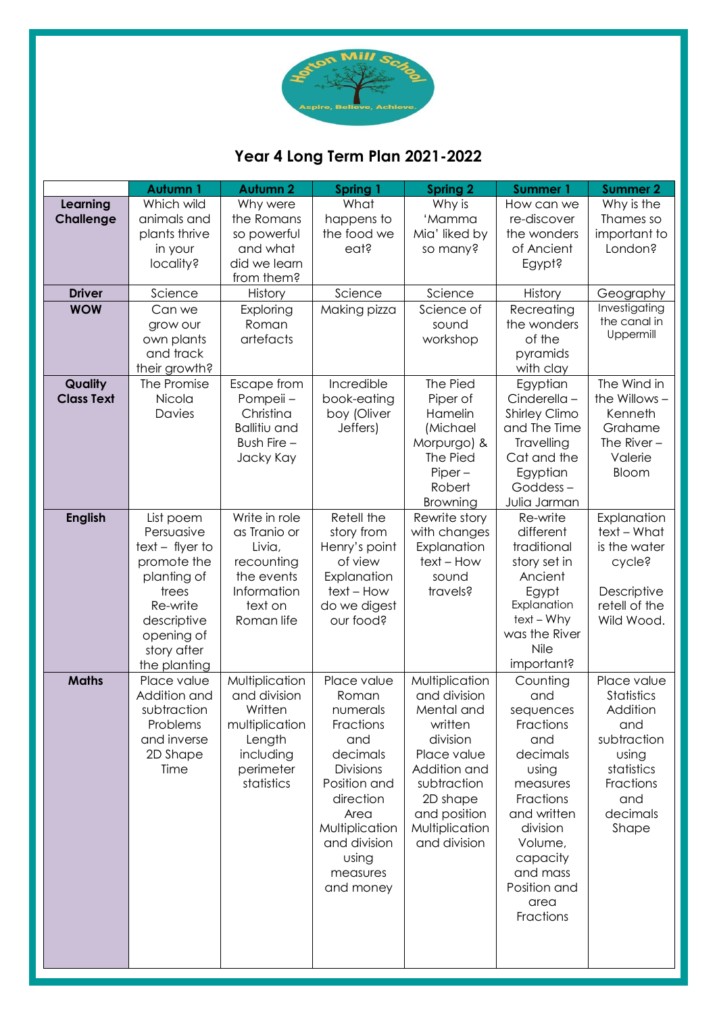

# **Year 4 Long Term Plan 2021-2022**

|                              | <b>Autumn1</b>                                                                                                                                              | <b>Autumn 2</b>                                                                                               | <b>Spring 1</b>                                                                                                                                                                               | <b>Spring 2</b>                                                                                                                                                                 | <b>Summer 1</b>                                                                                                                                                                                   | <b>Summer 2</b>                                                                                                             |
|------------------------------|-------------------------------------------------------------------------------------------------------------------------------------------------------------|---------------------------------------------------------------------------------------------------------------|-----------------------------------------------------------------------------------------------------------------------------------------------------------------------------------------------|---------------------------------------------------------------------------------------------------------------------------------------------------------------------------------|---------------------------------------------------------------------------------------------------------------------------------------------------------------------------------------------------|-----------------------------------------------------------------------------------------------------------------------------|
| Learning<br><b>Challenge</b> | Which wild<br>animals and<br>plants thrive<br>in your<br>locality?                                                                                          | Why were<br>the Romans<br>so powerful<br>and what<br>did we learn<br>from them?                               | What<br>happens to<br>the food we<br>eat?                                                                                                                                                     | Why is<br>'Mamma<br>Mia' liked by<br>so many?                                                                                                                                   | How can we<br>re-discover<br>the wonders<br>of Ancient<br>Egypt?                                                                                                                                  | Why is the<br>Thames so<br>important to<br>London?                                                                          |
| <b>Driver</b>                | Science                                                                                                                                                     | History                                                                                                       | Science                                                                                                                                                                                       | Science                                                                                                                                                                         | History                                                                                                                                                                                           | Geography                                                                                                                   |
| <b>WOW</b>                   | Can we<br>grow our<br>own plants<br>and track<br>their growth?                                                                                              | Exploring<br>Roman<br>artefacts                                                                               | Making pizza                                                                                                                                                                                  | Science of<br>sound<br>workshop                                                                                                                                                 | Recreating<br>the wonders<br>of the<br>pyramids<br>with clay                                                                                                                                      | Investigating<br>the canal in<br>Uppermill                                                                                  |
| Quality<br><b>Class Text</b> | The Promise<br>Nicola<br>Davies                                                                                                                             | Escape from<br>Pompeii -<br>Christina<br><b>Ballitiu and</b><br>Bush Fire -<br>Jacky Kay                      | Incredible<br>book-eating<br>boy (Oliver<br>Jeffers)                                                                                                                                          | The Pied<br>Piper of<br>Hamelin<br>(Michael<br>Morpurgo) &<br>The Pied<br>$Piper -$<br>Robert<br>Browning                                                                       | Egyptian<br>$Cinderella -$<br>Shirley Climo<br>and The Time<br>Travelling<br>Cat and the<br>Egyptian<br>Goddess-<br>Julia Jarman                                                                  | The Wind in<br>the Willows -<br>Kenneth<br>Grahame<br>The River $-$<br>Valerie<br>Bloom                                     |
| <b>English</b>               | List poem<br>Persuasive<br>$text - flyer to$<br>promote the<br>planting of<br>trees<br>Re-write<br>descriptive<br>opening of<br>story after<br>the planting | Write in role<br>as Tranio or<br>Livia,<br>recounting<br>the events<br>Information<br>text on<br>Roman life   | Retell the<br>story from<br>Henry's point<br>of view<br>Explanation<br>text - How<br>do we digest<br>our food?                                                                                | Rewrite story<br>with changes<br>Explanation<br>text - How<br>sound<br>travels?                                                                                                 | Re-write<br>different<br>traditional<br>story set in<br>Ancient<br>Egypt<br>Explanation<br>$text - Why$<br>was the River<br>Nile<br>important?                                                    | Explanation<br>text - What<br>is the water<br>cycle?<br>Descriptive<br>retell of the<br>Wild Wood.                          |
| <b>Maths</b>                 | Place value<br>Addition and<br>subtraction<br>Problems<br>and inverse<br>2D Shape<br>Time                                                                   | Multiplication<br>and division<br>Written<br>multiplication<br>Length<br>including<br>perimeter<br>statistics | Place value<br>Roman<br>numerals<br>Fractions<br>and<br>decimals<br><b>Divisions</b><br>Position and<br>direction<br>Area<br>Multiplication<br>and division<br>using<br>measures<br>and money | Multiplication<br>and division<br>Mental and<br>written<br>division<br>Place value<br>Addition and<br>subtraction<br>2D shape<br>and position<br>Multiplication<br>and division | Counting<br>and<br>sequences<br>Fractions<br>and<br>decimals<br>using<br>measures<br>Fractions<br>and written<br>division<br>Volume,<br>capacity<br>and mass<br>Position and<br>area<br>Fractions | Place value<br>Statistics<br>Addition<br>and<br>subtraction<br>using<br>statistics<br>Fractions<br>and<br>decimals<br>Shape |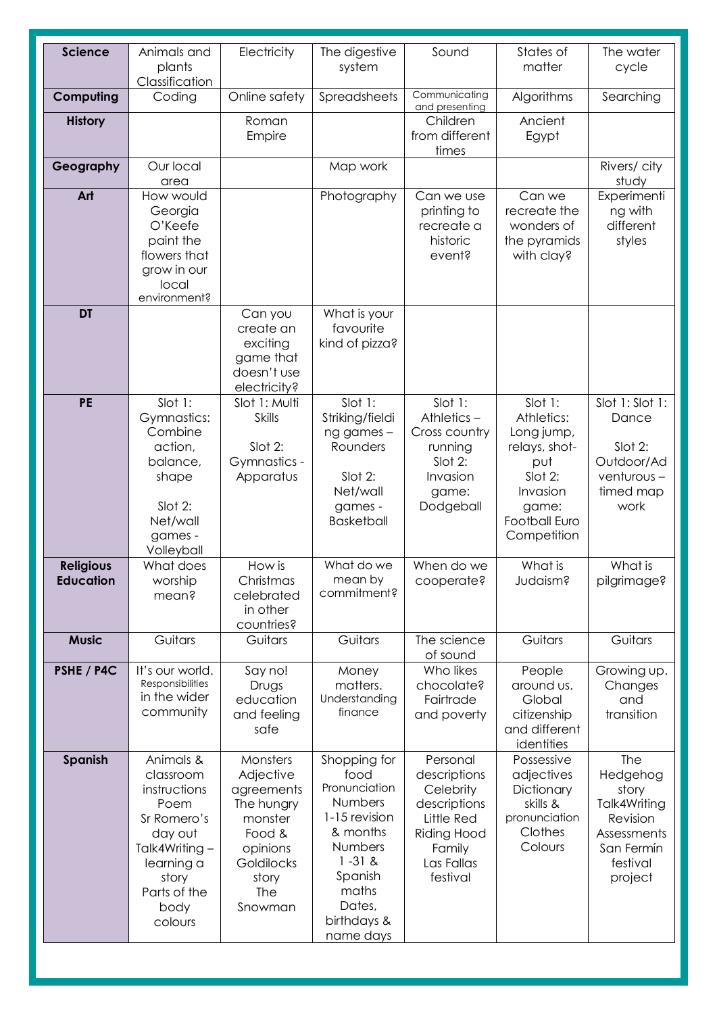| Science                       | Animals and<br>plants<br>Classification                                                                                                             | Electricity                                                                                                                        | The digestive<br>system                                                                                                                                          | Sound                                                                                                                         | States of<br>matter                                                                                                         | The water<br>cycle                                                                                       |
|-------------------------------|-----------------------------------------------------------------------------------------------------------------------------------------------------|------------------------------------------------------------------------------------------------------------------------------------|------------------------------------------------------------------------------------------------------------------------------------------------------------------|-------------------------------------------------------------------------------------------------------------------------------|-----------------------------------------------------------------------------------------------------------------------------|----------------------------------------------------------------------------------------------------------|
| Computing                     | Coding                                                                                                                                              | Online safety                                                                                                                      | Spreadsheets                                                                                                                                                     | Communicating<br>and presenting                                                                                               | Algorithms                                                                                                                  | Searching                                                                                                |
| <b>History</b>                |                                                                                                                                                     | Roman<br>Empire                                                                                                                    |                                                                                                                                                                  | Children<br>from different<br>times                                                                                           | Ancient<br>Egypt                                                                                                            |                                                                                                          |
| Geography                     | Our local<br>area                                                                                                                                   |                                                                                                                                    | Map work                                                                                                                                                         |                                                                                                                               |                                                                                                                             | Rivers/city<br>study                                                                                     |
| Art                           | How would<br>Georgia<br>O'Keefe<br>paint the<br>flowers that<br>grow in our<br>local<br>environment?                                                |                                                                                                                                    | Photography                                                                                                                                                      | Can we use<br>printing to<br>recreate a<br>historic<br>event?                                                                 | Can we<br>recreate the<br>wonders of<br>the pyramids<br>with clay?                                                          | Experimenti<br>ng with<br>different<br>styles                                                            |
| <b>DT</b>                     |                                                                                                                                                     | Can you<br>create an<br>exciting<br>game that<br>doesn't use<br>electricity?                                                       | What is your<br>favourite<br>kind of pizza?                                                                                                                      |                                                                                                                               |                                                                                                                             |                                                                                                          |
| <b>PE</b>                     | Slot 1:<br><b>Gymnastics:</b><br>Combine<br>action,<br>balance,<br>shape<br>Slot 2:<br>Net/wall<br>games -<br>Volleyball                            | Slot 1: Multi<br><b>Skills</b><br>Slot 2:<br>Gymnastics -<br>Apparatus                                                             | Slot 1:<br>Striking/fieldi<br>ng games-<br>Rounders<br>Slot 2:<br>Net/wall<br>games -<br><b>Basketball</b>                                                       | Slot 1:<br>Athletics-<br>Cross country<br>running<br>Slot 2:<br>Invasion<br>game:<br>Dodgeball                                | Slot 1:<br>Athletics:<br>Long jump,<br>relays, shot-<br>put<br>Slot 2:<br>Invasion<br>game:<br>Football Euro<br>Competition | Slot 1: Slot 1:<br>Dance<br>Slot 2:<br>Outdoor/Ad<br>venturous-<br>timed map<br>work                     |
| <b>Religious</b><br>Education | What does<br>worship<br>mean?                                                                                                                       | How is<br>Christmas<br>celebrated<br>in other<br>countries?                                                                        | What do we<br>mean by<br>commitment?                                                                                                                             | When do we<br>cooperate?                                                                                                      | What is<br>Judaism?                                                                                                         | What is<br>pilgrimage?                                                                                   |
| <b>Music</b>                  | Guitars                                                                                                                                             | Guitars                                                                                                                            | Guitars                                                                                                                                                          | The science<br>of sound                                                                                                       | Guitars                                                                                                                     | Guitars                                                                                                  |
| PSHE / P4C                    | It's our world.<br>Responsibilities<br>in the wider<br>community                                                                                    | Say no!<br>Drugs<br>education<br>and feeling<br>safe                                                                               | Money<br>matters.<br>Understanding<br>finance                                                                                                                    | Who likes<br>chocolate?<br>Fairtrade<br>and poverty                                                                           | People<br>around us.<br>Global<br>citizenship<br>and different<br>identities                                                | Growing up.<br>Changes<br>and<br>transition                                                              |
| Spanish                       | Animals &<br>classroom<br>instructions<br>Poem<br>Sr Romero's<br>day out<br>Talk4Writing-<br>learning a<br>story<br>Parts of the<br>body<br>colours | Monsters<br>Adjective<br>agreements<br>The hungry<br>monster<br>Food &<br>opinions<br>Goldilocks<br>story<br><b>The</b><br>Snowman | Shopping for<br>food<br>Pronunciation<br>Numbers<br>1-15 revision<br>& months<br>Numbers<br>$1 - 31 &$<br>Spanish<br>maths<br>Dates,<br>birthdays &<br>name days | Personal<br>descriptions<br>Celebrity<br>descriptions<br>Little Red<br><b>Riding Hood</b><br>Family<br>Las Fallas<br>festival | Possessive<br>adjectives<br>Dictionary<br>skills &<br>pronunciation<br>Clothes<br>Colours                                   | The<br>Hedgehog<br>story<br>Talk4Writing<br>Revision<br>Assessments<br>San Fermín<br>festival<br>project |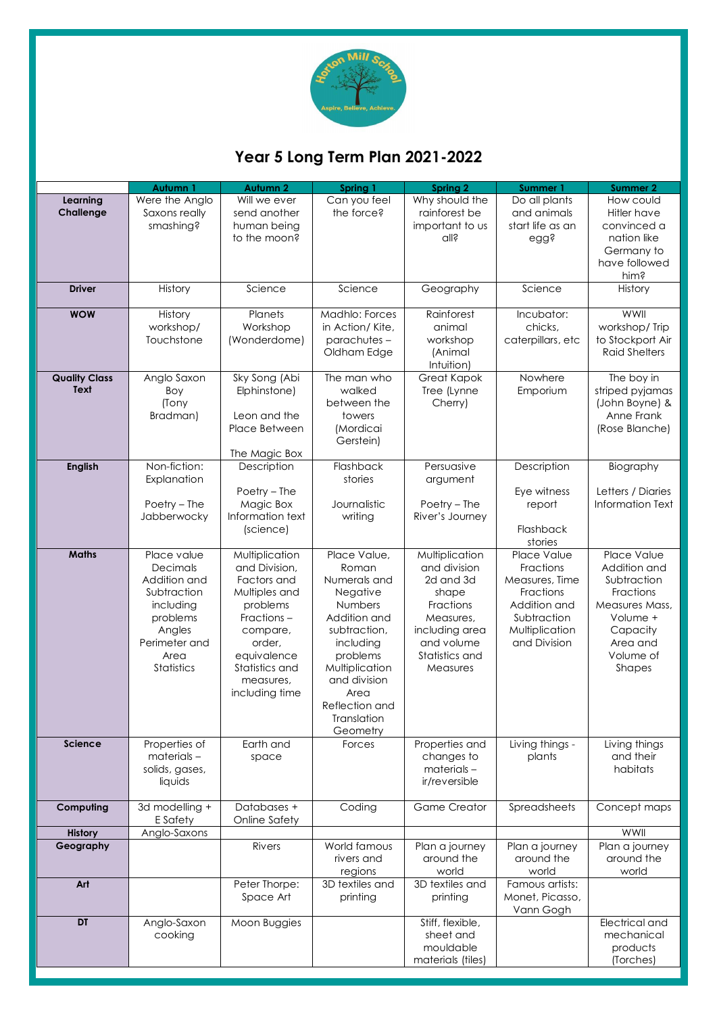

# **Year 5 Long Term Plan 2021-2022**

|                              | Autumn 1                                                                                                                         | <b>Autumn 2</b>                                                                                                                                                                  | Spring 1                                                                                                                                                                                                     | <b>Spring 2</b>                                                                                                                              | Summer 1                                                                                                                 | <b>Summer 2</b>                                                                                                                      |
|------------------------------|----------------------------------------------------------------------------------------------------------------------------------|----------------------------------------------------------------------------------------------------------------------------------------------------------------------------------|--------------------------------------------------------------------------------------------------------------------------------------------------------------------------------------------------------------|----------------------------------------------------------------------------------------------------------------------------------------------|--------------------------------------------------------------------------------------------------------------------------|--------------------------------------------------------------------------------------------------------------------------------------|
| Learning<br>Challenge        | Were the Anglo<br>Saxons really<br>smashing?                                                                                     | Will we ever<br>send another<br>human being<br>to the moon?                                                                                                                      | Can you feel<br>the force?                                                                                                                                                                                   | Why should the<br>rainforest be<br>important to us<br>all?                                                                                   | Do all plants<br>and animals<br>start life as an<br>egg?                                                                 | How could<br>Hitler have<br>convinced a<br>nation like<br>Germany to<br>have followed<br>him?                                        |
| <b>Driver</b>                | History                                                                                                                          | Science                                                                                                                                                                          | Science                                                                                                                                                                                                      | Geography                                                                                                                                    | Science                                                                                                                  | History                                                                                                                              |
| <b>WOW</b>                   | History<br>workshop/<br>Touchstone                                                                                               | Planets<br>Workshop<br>(Wonderdome)                                                                                                                                              | Madhlo: Forces<br>in Action/Kite,<br>parachutes-<br>Oldham Edge                                                                                                                                              | Rainforest<br>animal<br>workshop<br>(Animal<br>Intuition)                                                                                    | Incubator:<br>chicks,<br>caterpillars, etc                                                                               | WWII<br>workshop/Trip<br>to Stockport Air<br><b>Raid Shelters</b>                                                                    |
| <b>Quality Class</b><br>Text | Anglo Saxon<br>Boy<br>(Tony<br>Bradman)                                                                                          | Sky Song (Abi<br>Elphinstone)<br>Leon and the<br>Place Between<br>The Magic Box                                                                                                  | The man who<br>walked<br>between the<br>towers<br>(Mordicai<br>Gerstein)                                                                                                                                     | Great Kapok<br>Tree (Lynne<br>Cherry)                                                                                                        | Nowhere<br>Emporium                                                                                                      | The boy in<br>striped pyjamas<br>(John Boyne) &<br>Anne Frank<br>(Rose Blanche)                                                      |
| <b>English</b>               | Non-fiction:<br>Explanation<br>Poetry - The<br>Jabberwocky                                                                       | Description<br>Poetry - The<br>Magic Box<br>Information text<br>(science)                                                                                                        | Flashback<br>stories<br>Journalistic<br>writing                                                                                                                                                              | Persuasive<br>argument<br>Poetry - The<br>River's Journey                                                                                    | Description<br>Eye witness<br>report<br>Flashback<br>stories                                                             | Biography<br>Letters / Diaries<br>Information Text                                                                                   |
| Maths                        | Place value<br>Decimals<br>Addition and<br>Subtraction<br>including<br>problems<br>Angles<br>Perimeter and<br>Area<br>Statistics | Multiplication<br>and Division,<br>Factors and<br>Multiples and<br>problems<br>Fractions -<br>compare,<br>order,<br>equivalence<br>Statistics and<br>measures,<br>including time | Place Value,<br>Roman<br>Numerals and<br>Negative<br>Numbers<br>Addition and<br>subtraction,<br>including<br>problems<br>Multiplication<br>and division<br>Area<br>Reflection and<br>Translation<br>Geometry | Multiplication<br>and division<br>2d and 3d<br>shape<br>Fractions<br>Measures,<br>including area<br>and volume<br>Statistics and<br>Measures | Place Value<br>Fractions<br>Measures, Time<br>Fractions<br>Addition and<br>Subtraction<br>Multiplication<br>and Division | Place Value<br>Addition and<br>Subtraction<br>Fractions<br>Measures Mass,<br>Volume +<br>Capacity<br>Area and<br>Volume of<br>Shapes |
| Science                      | Properties of<br>materials-<br>solids, gases,<br>liquids                                                                         | Earth and<br>space                                                                                                                                                               | Forces                                                                                                                                                                                                       | Properties and<br>changes to<br>materials-<br>ir/reversible                                                                                  | Living things -<br>plants                                                                                                | Living things<br>and their<br>habitats                                                                                               |
| Computing                    | 3d modelling +<br>E Safety                                                                                                       | Databases +<br>Online Safety                                                                                                                                                     | Coding                                                                                                                                                                                                       | <b>Game Creator</b>                                                                                                                          | Spreadsheets                                                                                                             | Concept maps                                                                                                                         |
| <b>History</b>               | Anglo-Saxons                                                                                                                     |                                                                                                                                                                                  |                                                                                                                                                                                                              |                                                                                                                                              |                                                                                                                          | WWII                                                                                                                                 |
| Geography                    |                                                                                                                                  | Rivers                                                                                                                                                                           | World famous<br>rivers and<br>regions                                                                                                                                                                        | Plan a journey<br>around the<br>world                                                                                                        | Plan a journey<br>around the<br>world                                                                                    | Plan a journey<br>around the<br>world                                                                                                |
| Art                          |                                                                                                                                  | Peter Thorpe:<br>Space Art                                                                                                                                                       | 3D textiles and<br>printing                                                                                                                                                                                  | 3D textiles and<br>printing                                                                                                                  | Famous artists:<br>Monet, Picasso,<br>Vann Gogh                                                                          |                                                                                                                                      |
| DT                           | Anglo-Saxon<br>cooking                                                                                                           | Moon Buggies                                                                                                                                                                     |                                                                                                                                                                                                              | Stiff, flexible,<br>sheet and<br>mouldable<br>materials (tiles)                                                                              |                                                                                                                          | Electrical and<br>mechanical<br>products<br>(Torches)                                                                                |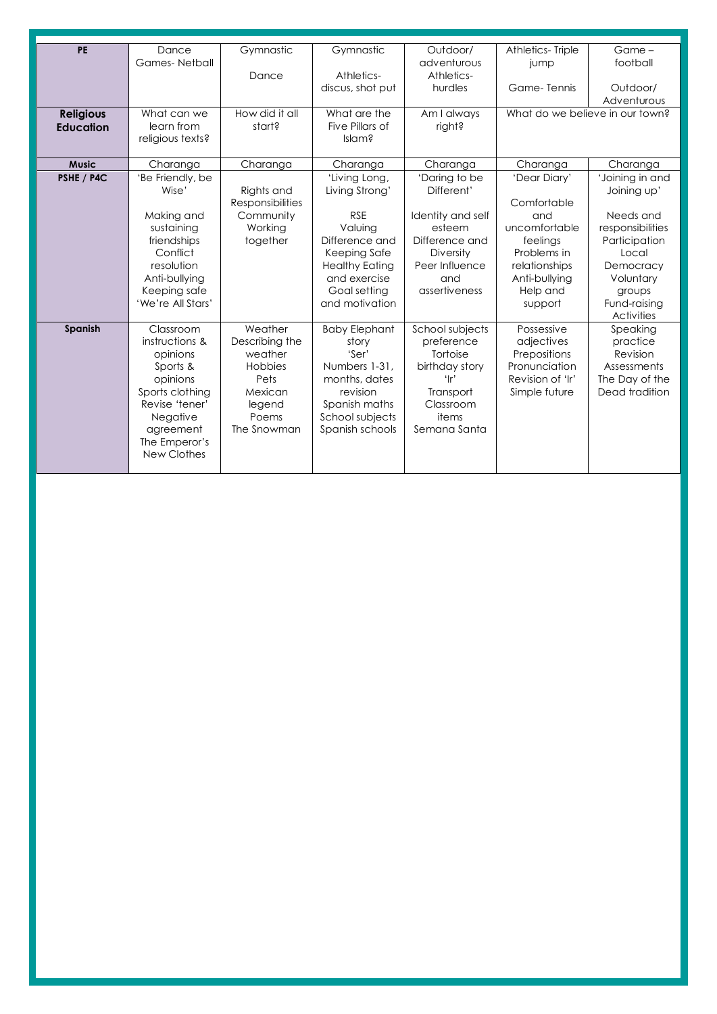| PE               | Dance                | Gymnastic               | Gymnastic             | Outdoor/          | Athletics-Triple                | Game -           |
|------------------|----------------------|-------------------------|-----------------------|-------------------|---------------------------------|------------------|
|                  | <b>Games-Netball</b> |                         |                       | adventurous       | jump                            | football         |
|                  |                      | Dance                   | Athletics-            | Athletics-        |                                 |                  |
|                  |                      |                         | discus, shot put      | hurdles           | Game-Tennis                     | Outdoor/         |
|                  |                      |                         |                       |                   |                                 | Adventurous      |
| <b>Religious</b> | What can we          | How did it all          | What are the          | Am I always       | What do we believe in our town? |                  |
| <b>Education</b> | learn from           | start?                  | Five Pillars of       | right?            |                                 |                  |
|                  | religious texts?     |                         | Islam?                |                   |                                 |                  |
|                  |                      |                         |                       |                   |                                 |                  |
| <b>Music</b>     | Charanga             | Charanga                | Charanga              | Charanga          | Charanga                        | Charanga         |
| PSHE / P4C       | 'Be Friendly, be     |                         | 'Living Long,         | 'Daring to be     | 'Dear Diary'                    | 'Joining in and  |
|                  | Wise'                | Rights and              | Living Strong'        | Different'        |                                 | Joining up'      |
|                  |                      | <b>Responsibilities</b> |                       |                   | Comfortable                     |                  |
|                  | Making and           | Community               | <b>RSE</b>            | Identity and self | and                             | Needs and        |
|                  | sustaining           | Working                 | Valuing               | esteem            | uncomfortable                   | responsibilities |
|                  | friendships          | together                | Difference and        | Difference and    | feelings                        | Participation    |
|                  | Conflict             |                         | Keeping Safe          | Diversity         | Problems in                     | Local            |
|                  | resolution           |                         | <b>Healthy Eating</b> | Peer Influence    | relationships                   | Democracy        |
|                  | Anti-bullying        |                         | and exercise          | and               | Anti-bullying                   | Voluntary        |
|                  | Keeping safe         |                         | Goal setting          | assertiveness     | Help and                        | groups           |
|                  | 'We're All Stars'    |                         | and motivation        |                   | support                         | Fund-raising     |
|                  |                      |                         |                       |                   |                                 | Activities       |
| Spanish          | Classroom            | Weather                 | <b>Baby Elephant</b>  | School subjects   | Possessive                      | Speaking         |
|                  | instructions &       | Describing the          | story                 | preference        | adjectives                      | practice         |
|                  | opinions             | weather                 | 'Ser'                 | Tortoise          | Prepositions                    | Revision         |
|                  | Sports &             | Hobbies                 | Numbers 1-31.         | birthday story    | Pronunciation                   | Assessments      |
|                  | opinions             | Pets                    | months, dates         | ʻlr'              | Revision of 'Ir'                | The Day of the   |
|                  | Sports clothing      | Mexican                 | revision              | Transport         | Simple future                   | Dead tradition   |
|                  | Revise 'tener'       | legend                  | Spanish maths         | Classroom         |                                 |                  |
|                  | Negative             | Poems                   | School subjects       | items             |                                 |                  |
|                  | agreement            | The Snowman             | Spanish schools       | Semana Santa      |                                 |                  |
|                  | The Emperor's        |                         |                       |                   |                                 |                  |
|                  | New Clothes          |                         |                       |                   |                                 |                  |
|                  |                      |                         |                       |                   |                                 |                  |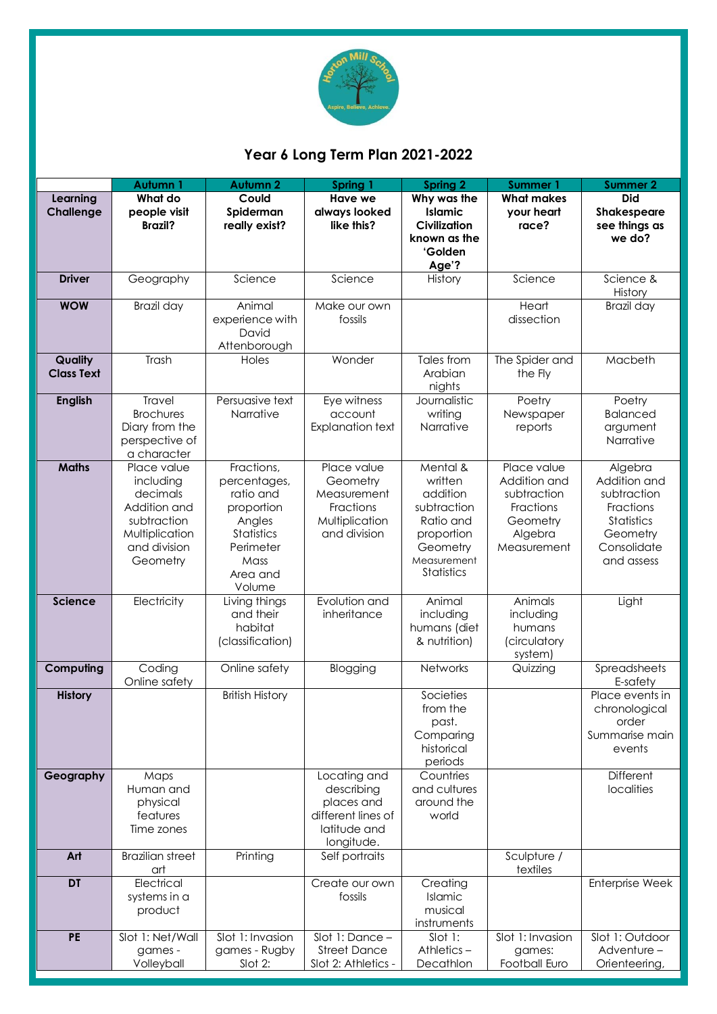

### **Year 6 Long Term Plan 2021-2022**

|                              | Autumn 1                                                                                                          | <b>Autumn 2</b>                                                                                                          | Spring 1                                                                                     | <b>Spring 2</b>                                                                                                           | <b>Summer 1</b>                                                                               | <b>Summer 2</b>                                                                                            |
|------------------------------|-------------------------------------------------------------------------------------------------------------------|--------------------------------------------------------------------------------------------------------------------------|----------------------------------------------------------------------------------------------|---------------------------------------------------------------------------------------------------------------------------|-----------------------------------------------------------------------------------------------|------------------------------------------------------------------------------------------------------------|
| Learning<br><b>Challenge</b> | What do<br>people visit<br><b>Brazil?</b>                                                                         | Could<br>Spiderman<br>really exist?                                                                                      | <b>Have we</b><br>always looked<br>like this?                                                | Why was the<br>Islamic<br>Civilization<br>known as the<br>'Golden<br>Age'?                                                | <b>What makes</b><br>your heart<br>race?                                                      | <b>Did</b><br><b>Shakespeare</b><br>see things as<br>we do?                                                |
| <b>Driver</b>                | Geography                                                                                                         | Science                                                                                                                  | Science                                                                                      | History                                                                                                                   | Science                                                                                       | Science &<br>History                                                                                       |
| <b>WOW</b>                   | Brazil day                                                                                                        | Animal<br>experience with<br>David<br>Attenborough                                                                       | Make our own<br>fossils                                                                      |                                                                                                                           | Heart<br>dissection                                                                           | Brazil day                                                                                                 |
| Quality<br><b>Class Text</b> | Trash                                                                                                             | Holes                                                                                                                    | Wonder                                                                                       | Tales from<br>Arabian<br>nights                                                                                           | The Spider and<br>the Fly                                                                     | Macbeth                                                                                                    |
| <b>English</b>               | Travel<br><b>Brochures</b><br>Diary from the<br>perspective of<br>a character                                     | Persuasive text<br>Narrative                                                                                             | Eye witness<br>account<br><b>Explanation text</b>                                            | Journalistic<br>writing<br>Narrative                                                                                      | Poetry<br>Newspaper<br>reports                                                                | Poetry<br><b>Balanced</b><br>argument<br>Narrative                                                         |
| <b>Maths</b>                 | Place value<br>including<br>decimals<br>Addition and<br>subtraction<br>Multiplication<br>and division<br>Geometry | Fractions,<br>percentages,<br>ratio and<br>proportion<br>Angles<br>Statistics<br>Perimeter<br>Mass<br>Area and<br>Volume | Place value<br>Geometry<br>Measurement<br>Fractions<br>Multiplication<br>and division        | Mental &<br>written<br>addition<br>subtraction<br>Ratio and<br>proportion<br>Geometry<br>Measurement<br><b>Statistics</b> | Place value<br>Addition and<br>subtraction<br>Fractions<br>Geometry<br>Algebra<br>Measurement | Algebra<br>Addition and<br>subtraction<br>Fractions<br>Statistics<br>Geometry<br>Consolidate<br>and assess |
| Science                      | Electricity                                                                                                       | Living things<br>and their<br>habitat<br>(classification)                                                                | Evolution and<br>inheritance                                                                 | Animal<br>including<br>humans (diet<br>& nutrition)                                                                       | Animals<br>including<br>humans<br>(circulatory<br>system)                                     | Light                                                                                                      |
| Computing                    | Coding<br>Online safety                                                                                           | Online safety                                                                                                            | Blogging                                                                                     | Networks                                                                                                                  | Quizzing                                                                                      | Spreadsheets<br>E-safety                                                                                   |
| <b>History</b>               |                                                                                                                   | <b>British History</b>                                                                                                   |                                                                                              | Societies<br>from the<br>past.<br>Comparing<br>historical<br>periods                                                      |                                                                                               | Place events in<br>chronological<br>order<br>Summarise main<br>events                                      |
| Geography                    | Maps<br>Human and<br>physical<br>features<br>Time zones                                                           |                                                                                                                          | Locating and<br>describing<br>places and<br>different lines of<br>latitude and<br>longitude. | Countries<br>and cultures<br>around the<br>world                                                                          |                                                                                               | Different<br>localities                                                                                    |
| Art                          | <b>Brazilian street</b><br>art                                                                                    | Printing                                                                                                                 | Self portraits                                                                               |                                                                                                                           | Sculpture /<br>textiles                                                                       |                                                                                                            |
| $\overline{DT}$              | Electrical<br>systems in a<br>product                                                                             |                                                                                                                          | Create our own<br>fossils                                                                    | Creating<br>Islamic<br>musical<br>instruments                                                                             |                                                                                               | <b>Enterprise Week</b>                                                                                     |
| <b>PE</b>                    | Slot 1: Net/Wall<br>games -<br>Volleyball                                                                         | Slot 1: Invasion<br>games - Rugby<br>Slot 2:                                                                             | Slot 1: Dance -<br><b>Street Dance</b><br>Slot 2: Athletics -                                | Slot 1:<br>Athletics-<br>Decathlon                                                                                        | Slot 1: Invasion<br>games:<br>Football Euro                                                   | Slot 1: Outdoor<br>Adventure-<br>Orienteering,                                                             |